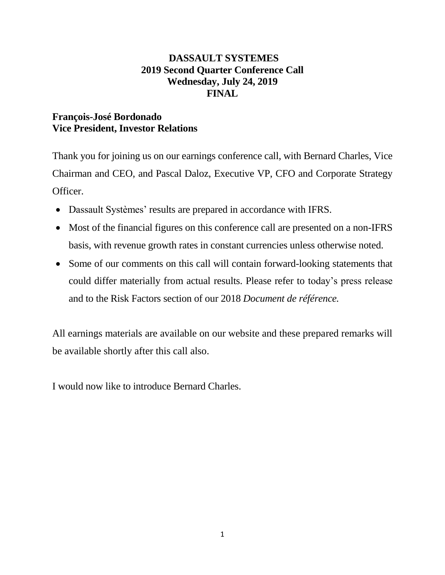## **DASSAULT SYSTEMES 2019 Second Quarter Conference Call Wednesday, July 24, 2019 FINAL**

## **François-José Bordonado Vice President, Investor Relations**

Thank you for joining us on our earnings conference call, with Bernard Charles, Vice Chairman and CEO, and Pascal Daloz, Executive VP, CFO and Corporate Strategy Officer.

- Dassault Systèmes' results are prepared in accordance with IFRS.
- Most of the financial figures on this conference call are presented on a non-IFRS basis, with revenue growth rates in constant currencies unless otherwise noted.
- Some of our comments on this call will contain forward-looking statements that could differ materially from actual results. Please refer to today's press release and to the Risk Factors section of our 2018 *Document de référence.*

All earnings materials are available on our website and these prepared remarks will be available shortly after this call also.

I would now like to introduce Bernard Charles.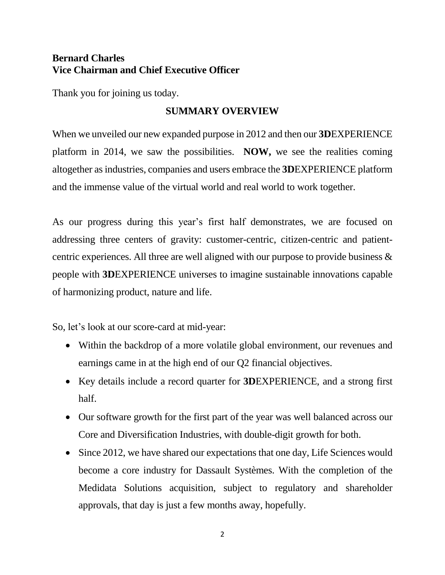## **Bernard Charles Vice Chairman and Chief Executive Officer**

Thank you for joining us today.

# **SUMMARY OVERVIEW**

When we unveiled our new expanded purpose in 2012 and then our **3D**EXPERIENCE platform in 2014, we saw the possibilities. **NOW,** we see the realities coming altogether as industries, companies and users embrace the **3D**EXPERIENCE platform and the immense value of the virtual world and real world to work together.

As our progress during this year's first half demonstrates, we are focused on addressing three centers of gravity: customer-centric, citizen-centric and patientcentric experiences. All three are well aligned with our purpose to provide business & people with **3D**EXPERIENCE universes to imagine sustainable innovations capable of harmonizing product, nature and life.

So, let's look at our score-card at mid-year:

- Within the backdrop of a more volatile global environment, our revenues and earnings came in at the high end of our Q2 financial objectives.
- Key details include a record quarter for **3D**EXPERIENCE, and a strong first half.
- Our software growth for the first part of the year was well balanced across our Core and Diversification Industries, with double-digit growth for both.
- Since 2012, we have shared our expectations that one day, Life Sciences would become a core industry for Dassault Systèmes. With the completion of the Medidata Solutions acquisition, subject to regulatory and shareholder approvals, that day is just a few months away, hopefully.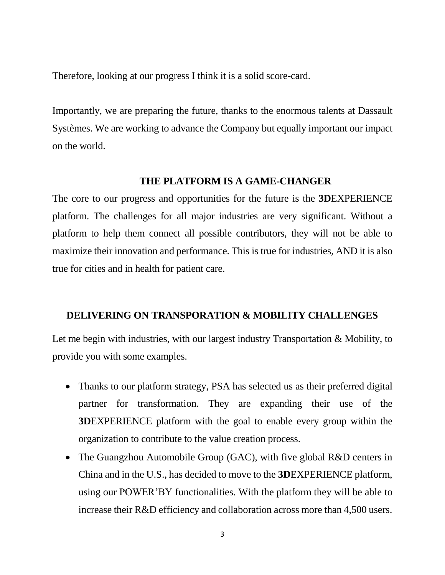Therefore, looking at our progress I think it is a solid score-card.

Importantly, we are preparing the future, thanks to the enormous talents at Dassault Systèmes. We are working to advance the Company but equally important our impact on the world.

### **THE PLATFORM IS A GAME-CHANGER**

The core to our progress and opportunities for the future is the **3D**EXPERIENCE platform. The challenges for all major industries are very significant. Without a platform to help them connect all possible contributors, they will not be able to maximize their innovation and performance. This is true for industries, AND it is also true for cities and in health for patient care.

### **DELIVERING ON TRANSPORATION & MOBILITY CHALLENGES**

Let me begin with industries, with our largest industry Transportation & Mobility, to provide you with some examples.

- Thanks to our platform strategy, PSA has selected us as their preferred digital partner for transformation. They are expanding their use of the **3D**EXPERIENCE platform with the goal to enable every group within the organization to contribute to the value creation process.
- The Guangzhou Automobile Group (GAC), with five global R&D centers in China and in the U.S., has decided to move to the **3D**EXPERIENCE platform, using our POWER'BY functionalities. With the platform they will be able to increase their R&D efficiency and collaboration across more than 4,500 users.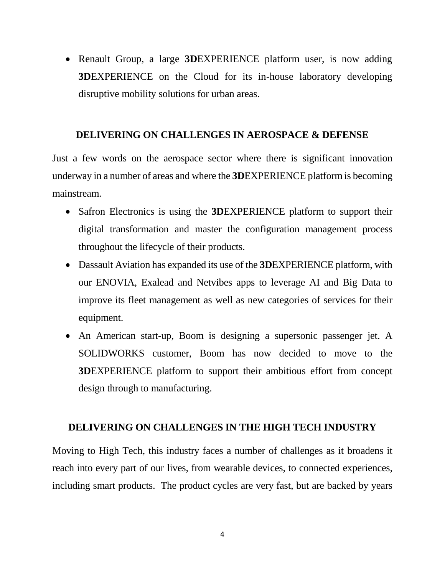• Renault Group, a large **3DEXPERIENCE** platform user, is now adding **3D**EXPERIENCE on the Cloud for its in-house laboratory developing disruptive mobility solutions for urban areas.

## **DELIVERING ON CHALLENGES IN AEROSPACE & DEFENSE**

Just a few words on the aerospace sector where there is significant innovation underway in a number of areas and where the **3D**EXPERIENCE platform is becoming mainstream.

- Safron Electronics is using the **3DEXPERIENCE** platform to support their digital transformation and master the configuration management process throughout the lifecycle of their products.
- Dassault Aviation has expanded its use of the **3D**EXPERIENCE platform, with our ENOVIA, Exalead and Netvibes apps to leverage AI and Big Data to improve its fleet management as well as new categories of services for their equipment.
- An American start-up, Boom is designing a supersonic passenger jet. A SOLIDWORKS customer, Boom has now decided to move to the **3D**EXPERIENCE platform to support their ambitious effort from concept design through to manufacturing.

## **DELIVERING ON CHALLENGES IN THE HIGH TECH INDUSTRY**

Moving to High Tech, this industry faces a number of challenges as it broadens it reach into every part of our lives, from wearable devices, to connected experiences, including smart products. The product cycles are very fast, but are backed by years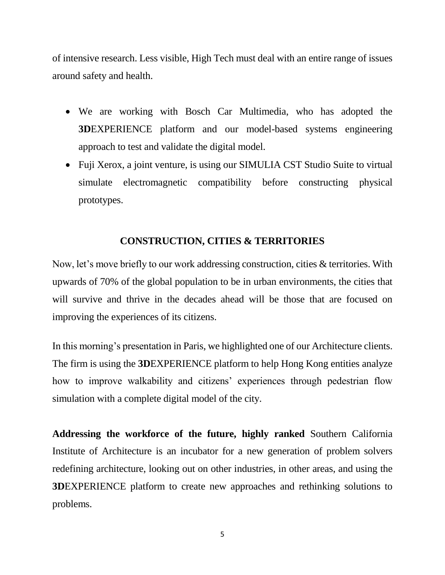of intensive research. Less visible, High Tech must deal with an entire range of issues around safety and health.

- We are working with Bosch Car Multimedia, who has adopted the **3D**EXPERIENCE platform and our model-based systems engineering approach to test and validate the digital model.
- Fuji Xerox, a joint venture, is using our SIMULIA CST Studio Suite to virtual simulate electromagnetic compatibility before constructing physical prototypes.

## **CONSTRUCTION, CITIES & TERRITORIES**

Now, let's move briefly to our work addressing construction, cities & territories. With upwards of 70% of the global population to be in urban environments, the cities that will survive and thrive in the decades ahead will be those that are focused on improving the experiences of its citizens.

In this morning's presentation in Paris, we highlighted one of our Architecture clients. The firm is using the **3D**EXPERIENCE platform to help Hong Kong entities analyze how to improve walkability and citizens' experiences through pedestrian flow simulation with a complete digital model of the city.

**Addressing the workforce of the future, highly ranked** Southern California Institute of Architecture is an incubator for a new generation of problem solvers redefining architecture, looking out on other industries, in other areas, and using the **3D**EXPERIENCE platform to create new approaches and rethinking solutions to problems.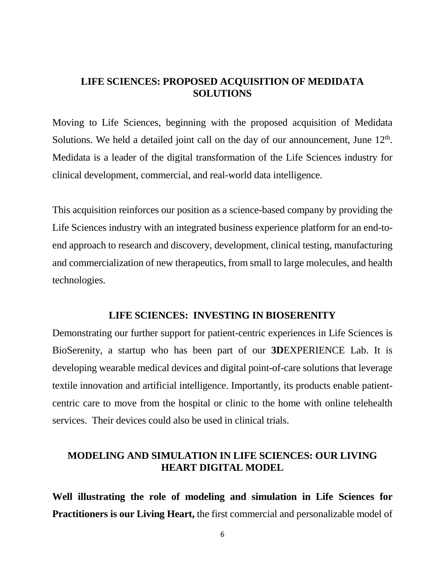## **LIFE SCIENCES: PROPOSED ACQUISITION OF MEDIDATA SOLUTIONS**

Moving to Life Sciences, beginning with the proposed acquisition of Medidata Solutions. We held a detailed joint call on the day of our announcement, June  $12<sup>th</sup>$ . Medidata is a leader of the digital transformation of the Life Sciences industry for clinical development, commercial, and real-world data intelligence.

This acquisition reinforces our position as a science-based company by providing the Life Sciences industry with an integrated business experience platform for an end-toend approach to research and discovery, development, clinical testing, manufacturing and commercialization of new therapeutics, from small to large molecules, and health technologies.

### **LIFE SCIENCES: INVESTING IN BIOSERENITY**

Demonstrating our further support for patient-centric experiences in Life Sciences is BioSerenity, a startup who has been part of our **3D**EXPERIENCE Lab. It is developing wearable medical devices and digital point-of-care solutions that leverage textile innovation and artificial intelligence. Importantly, its products enable patientcentric care to move from the hospital or clinic to the home with online telehealth services. Their devices could also be used in clinical trials.

## **MODELING AND SIMULATION IN LIFE SCIENCES: OUR LIVING HEART DIGITAL MODEL**

**Well illustrating the role of modeling and simulation in Life Sciences for Practitioners is our Living Heart,** the first commercial and personalizable model of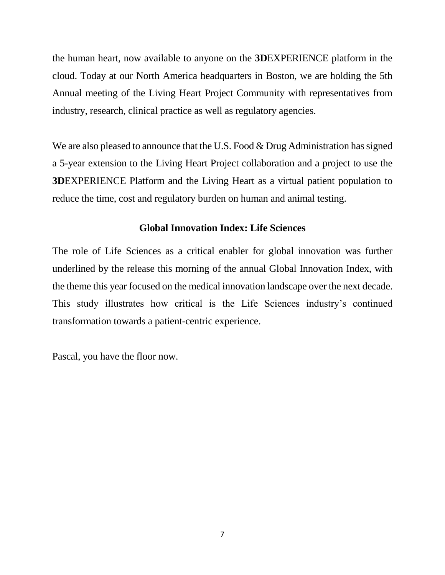the human heart, now available to anyone on the **3D**EXPERIENCE platform in the cloud. Today at our North America headquarters in Boston, we are holding the 5th Annual meeting of the Living Heart Project Community with representatives from industry, research, clinical practice as well as regulatory agencies.

We are also pleased to announce that the U.S. Food & Drug Administration has signed a 5-year extension to the Living Heart Project collaboration and a project to use the **3D**EXPERIENCE Platform and the Living Heart as a virtual patient population to reduce the time, cost and regulatory burden on human and animal testing.

### **Global Innovation Index: Life Sciences**

The role of Life Sciences as a critical enabler for global innovation was further underlined by the release this morning of the annual Global Innovation Index, with the theme this year focused on the medical innovation landscape over the next decade. This study illustrates how critical is the Life Sciences industry's continued transformation towards a patient-centric experience.

Pascal, you have the floor now.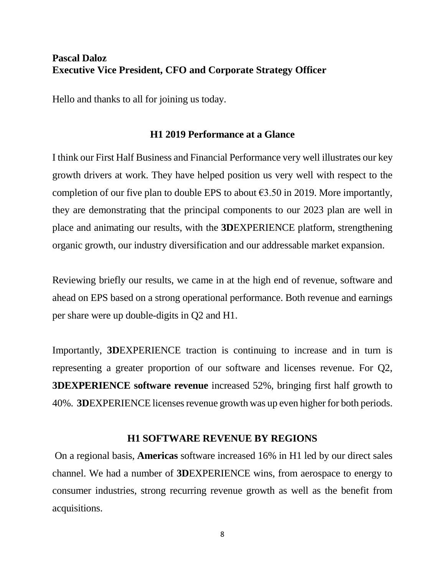## **Pascal Daloz Executive Vice President, CFO and Corporate Strategy Officer**

Hello and thanks to all for joining us today.

### **H1 2019 Performance at a Glance**

I think our First Half Business and Financial Performance very well illustrates our key growth drivers at work. They have helped position us very well with respect to the completion of our five plan to double EPS to about  $63.50$  in 2019. More importantly, they are demonstrating that the principal components to our 2023 plan are well in place and animating our results, with the **3D**EXPERIENCE platform, strengthening organic growth, our industry diversification and our addressable market expansion.

Reviewing briefly our results, we came in at the high end of revenue, software and ahead on EPS based on a strong operational performance. Both revenue and earnings per share were up double-digits in Q2 and H1.

Importantly, **3D**EXPERIENCE traction is continuing to increase and in turn is representing a greater proportion of our software and licenses revenue. For Q2, **3DEXPERIENCE software revenue** increased 52%, bringing first half growth to 40%. **3D**EXPERIENCE licenses revenue growth was up even higher for both periods.

## **H1 SOFTWARE REVENUE BY REGIONS**

On a regional basis, **Americas** software increased 16% in H1 led by our direct sales channel. We had a number of **3D**EXPERIENCE wins, from aerospace to energy to consumer industries, strong recurring revenue growth as well as the benefit from acquisitions.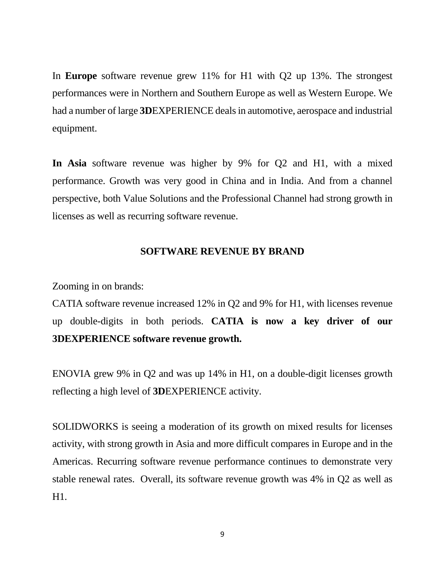In **Europe** software revenue grew 11% for H1 with Q2 up 13%. The strongest performances were in Northern and Southern Europe as well as Western Europe. We had a number of large **3D**EXPERIENCE deals in automotive, aerospace and industrial equipment.

**In Asia** software revenue was higher by 9% for Q2 and H1, with a mixed performance. Growth was very good in China and in India. And from a channel perspective, both Value Solutions and the Professional Channel had strong growth in licenses as well as recurring software revenue.

### **SOFTWARE REVENUE BY BRAND**

Zooming in on brands:

CATIA software revenue increased 12% in Q2 and 9% for H1, with licenses revenue up double-digits in both periods. **CATIA is now a key driver of our 3DEXPERIENCE software revenue growth.**

ENOVIA grew 9% in Q2 and was up 14% in H1, on a double-digit licenses growth reflecting a high level of **3D**EXPERIENCE activity.

SOLIDWORKS is seeing a moderation of its growth on mixed results for licenses activity, with strong growth in Asia and more difficult compares in Europe and in the Americas. Recurring software revenue performance continues to demonstrate very stable renewal rates. Overall, its software revenue growth was 4% in Q2 as well as H1.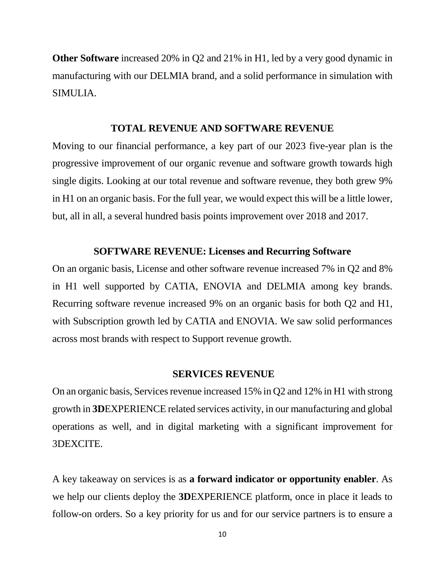**Other Software** increased 20% in Q2 and 21% in H1, led by a very good dynamic in manufacturing with our DELMIA brand, and a solid performance in simulation with SIMULIA.

### **TOTAL REVENUE AND SOFTWARE REVENUE**

Moving to our financial performance, a key part of our 2023 five-year plan is the progressive improvement of our organic revenue and software growth towards high single digits. Looking at our total revenue and software revenue, they both grew 9% in H1 on an organic basis. For the full year, we would expect this will be a little lower, but, all in all, a several hundred basis points improvement over 2018 and 2017.

#### **SOFTWARE REVENUE: Licenses and Recurring Software**

On an organic basis, License and other software revenue increased 7% in Q2 and 8% in H1 well supported by CATIA, ENOVIA and DELMIA among key brands. Recurring software revenue increased 9% on an organic basis for both Q2 and H1, with Subscription growth led by CATIA and ENOVIA. We saw solid performances across most brands with respect to Support revenue growth.

#### **SERVICES REVENUE**

On an organic basis, Services revenue increased 15% in Q2 and 12% in H1 with strong growth in **3D**EXPERIENCE related services activity, in our manufacturing and global operations as well, and in digital marketing with a significant improvement for 3DEXCITE.

A key takeaway on services is as **a forward indicator or opportunity enabler**. As we help our clients deploy the **3D**EXPERIENCE platform, once in place it leads to follow-on orders. So a key priority for us and for our service partners is to ensure a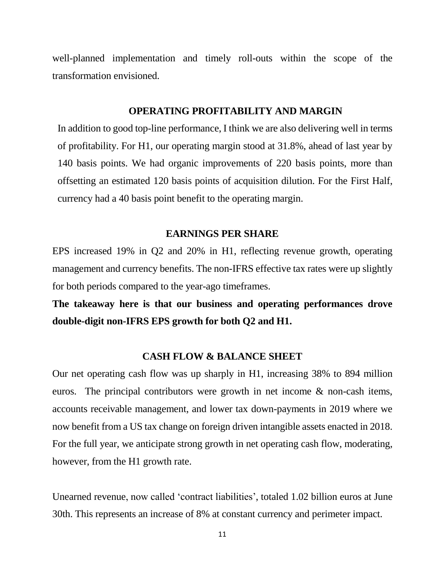well-planned implementation and timely roll-outs within the scope of the transformation envisioned.

### **OPERATING PROFITABILITY AND MARGIN**

In addition to good top-line performance, I think we are also delivering well in terms of profitability. For H1, our operating margin stood at 31.8%, ahead of last year by 140 basis points. We had organic improvements of 220 basis points, more than offsetting an estimated 120 basis points of acquisition dilution. For the First Half, currency had a 40 basis point benefit to the operating margin.

### **EARNINGS PER SHARE**

EPS increased 19% in Q2 and 20% in H1, reflecting revenue growth, operating management and currency benefits. The non-IFRS effective tax rates were up slightly for both periods compared to the year-ago timeframes.

**The takeaway here is that our business and operating performances drove double-digit non-IFRS EPS growth for both Q2 and H1.**

### **CASH FLOW & BALANCE SHEET**

Our net operating cash flow was up sharply in H1, increasing 38% to 894 million euros. The principal contributors were growth in net income & non-cash items, accounts receivable management, and lower tax down-payments in 2019 where we now benefit from a US tax change on foreign driven intangible assets enacted in 2018. For the full year, we anticipate strong growth in net operating cash flow, moderating, however, from the H1 growth rate.

Unearned revenue, now called 'contract liabilities', totaled 1.02 billion euros at June 30th. This represents an increase of 8% at constant currency and perimeter impact.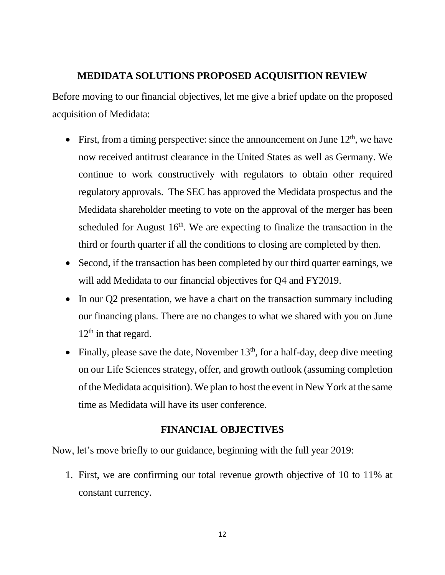### **MEDIDATA SOLUTIONS PROPOSED ACQUISITION REVIEW**

Before moving to our financial objectives, let me give a brief update on the proposed acquisition of Medidata:

- First, from a timing perspective: since the announcement on June  $12<sup>th</sup>$ , we have now received antitrust clearance in the United States as well as Germany. We continue to work constructively with regulators to obtain other required regulatory approvals. The SEC has approved the Medidata prospectus and the Medidata shareholder meeting to vote on the approval of the merger has been scheduled for August  $16<sup>th</sup>$ . We are expecting to finalize the transaction in the third or fourth quarter if all the conditions to closing are completed by then.
- Second, if the transaction has been completed by our third quarter earnings, we will add Medidata to our financial objectives for Q4 and FY2019.
- In our Q2 presentation, we have a chart on the transaction summary including our financing plans. There are no changes to what we shared with you on June  $12<sup>th</sup>$  in that regard.
- Finally, please save the date, November  $13<sup>th</sup>$ , for a half-day, deep dive meeting on our Life Sciences strategy, offer, and growth outlook (assuming completion of the Medidata acquisition). We plan to host the event in New York at the same time as Medidata will have its user conference.

## **FINANCIAL OBJECTIVES**

Now, let's move briefly to our guidance, beginning with the full year 2019:

1. First, we are confirming our total revenue growth objective of 10 to 11% at constant currency.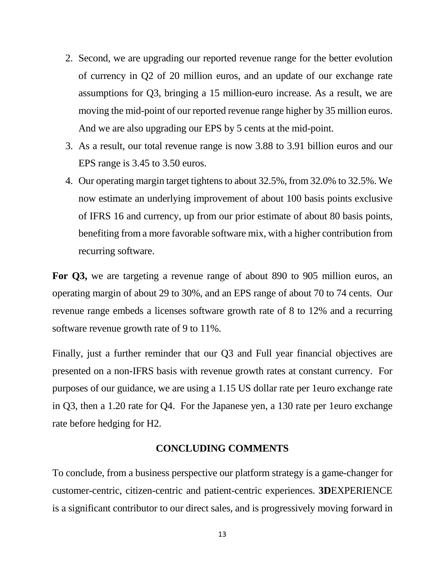- 2. Second, we are upgrading our reported revenue range for the better evolution of currency in Q2 of 20 million euros, and an update of our exchange rate assumptions for Q3, bringing a 15 million-euro increase. As a result, we are moving the mid-point of our reported revenue range higher by 35 million euros. And we are also upgrading our EPS by 5 cents at the mid-point.
- 3. As a result, our total revenue range is now 3.88 to 3.91 billion euros and our EPS range is 3.45 to 3.50 euros.
- 4. Our operating margin target tightens to about 32.5%, from 32.0% to 32.5%. We now estimate an underlying improvement of about 100 basis points exclusive of IFRS 16 and currency, up from our prior estimate of about 80 basis points, benefiting from a more favorable software mix, with a higher contribution from recurring software.

**For Q3,** we are targeting a revenue range of about 890 to 905 million euros, an operating margin of about 29 to 30%, and an EPS range of about 70 to 74 cents. Our revenue range embeds a licenses software growth rate of 8 to 12% and a recurring software revenue growth rate of 9 to 11%.

Finally, just a further reminder that our Q3 and Full year financial objectives are presented on a non-IFRS basis with revenue growth rates at constant currency. For purposes of our guidance, we are using a 1.15 US dollar rate per 1euro exchange rate in Q3, then a 1.20 rate for Q4. For the Japanese yen, a 130 rate per 1euro exchange rate before hedging for H2.

### **CONCLUDING COMMENTS**

To conclude, from a business perspective our platform strategy is a game-changer for customer-centric, citizen-centric and patient-centric experiences. **3D**EXPERIENCE is a significant contributor to our direct sales, and is progressively moving forward in